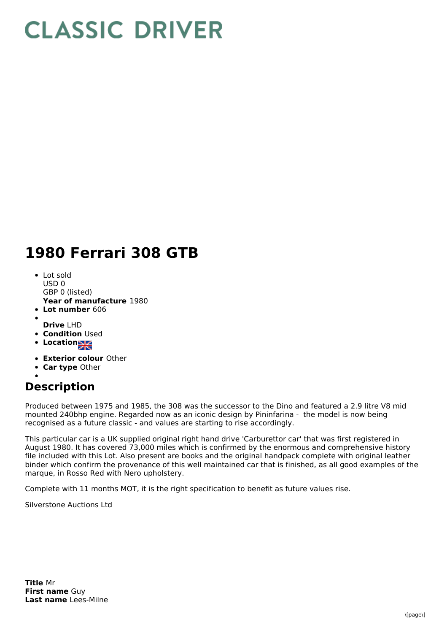## **CLASSIC DRIVER**

## **1980 Ferrari 308 GTB**

- **Year of manufacture** 1980 • Lot sold USD 0 GBP 0 (listed)
- **Lot number** 606
- **Drive** LHD
- **Condition Used**
- Location<sub>al</sub>
- **Exterior colour** Other
- **Car type** Other
- 

## **Description**

Produced between 1975 and 1985, the 308 was the successor to the Dino and featured a 2.9 litre V8 mid mounted 240bhp engine. Regarded now as an iconic design by Pininfarina - the model is now being recognised as a future classic - and values are starting to rise accordingly.

This particular car is a UK supplied original right hand drive 'Carburettor car' that was first registered in August 1980. It has covered 73,000 miles which is confirmed by the enormous and comprehensive history file included with this Lot. Also present are books and the original handpack complete with original leather binder which confirm the provenance of this well maintained car that is finished, as all good examples of the marque, in Rosso Red with Nero upholstery.

Complete with 11 months MOT, it is the right specification to benefit as future values rise.

Silverstone Auctions Ltd